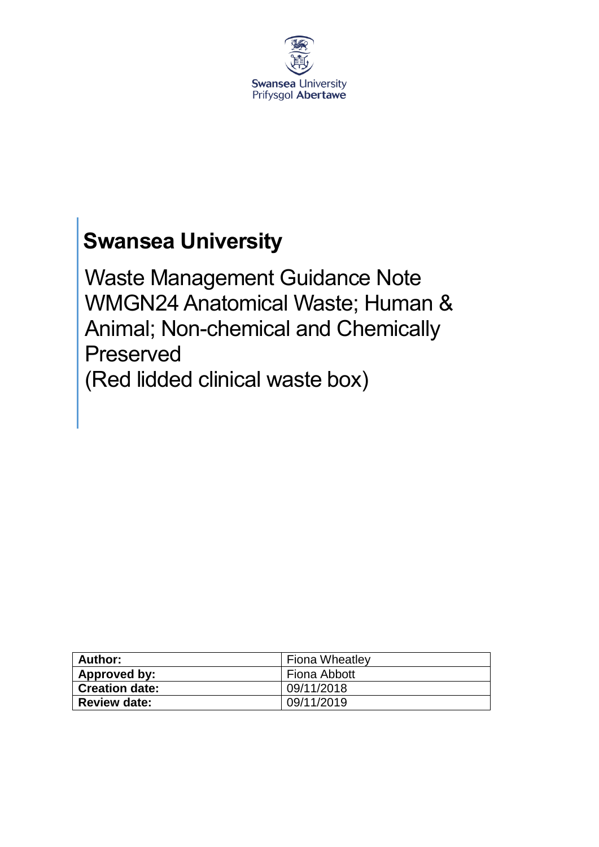

# **Swansea University**

Waste Management Guidance Note WMGN24 Anatomical Waste; Human & Animal; Non-chemical and Chemically Preserved (Red lidded clinical waste box)

| Author:               | <b>Fiona Wheatley</b> |
|-----------------------|-----------------------|
| Approved by:          | Fiona Abbott          |
| <b>Creation date:</b> | 09/11/2018            |
| <b>Review date:</b>   | 09/11/2019            |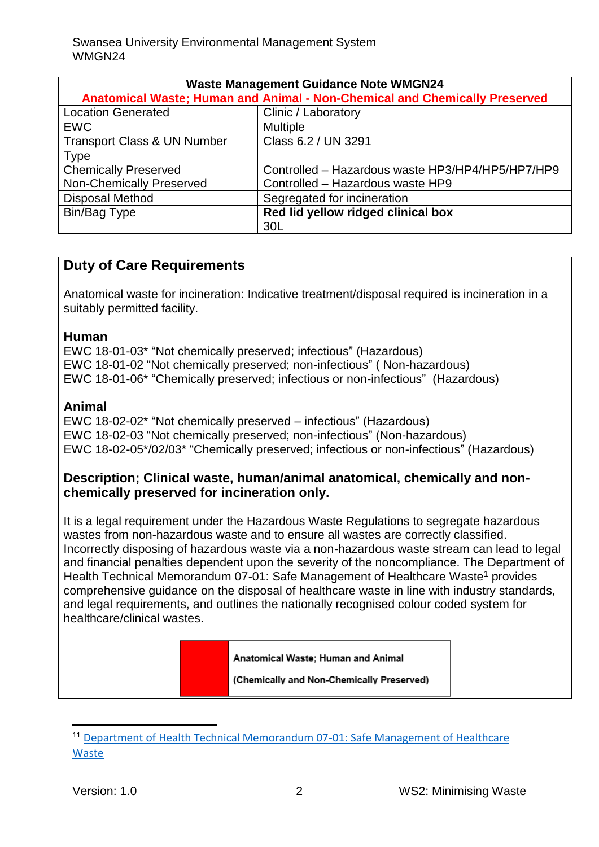| <b>Waste Management Guidance Note WMGN24</b>                               |                                                  |
|----------------------------------------------------------------------------|--------------------------------------------------|
| Anatomical Waste; Human and Animal - Non-Chemical and Chemically Preserved |                                                  |
| <b>Location Generated</b>                                                  | Clinic / Laboratory                              |
| <b>EWC</b>                                                                 | <b>Multiple</b>                                  |
| <b>Transport Class &amp; UN Number</b>                                     | Class 6.2 / UN 3291                              |
| <b>Type</b>                                                                |                                                  |
| <b>Chemically Preserved</b>                                                | Controlled - Hazardous waste HP3/HP4/HP5/HP7/HP9 |
| <b>Non-Chemically Preserved</b>                                            | Controlled - Hazardous waste HP9                 |
| <b>Disposal Method</b>                                                     | Segregated for incineration                      |
| Bin/Bag Type                                                               | Red lid yellow ridged clinical box               |
|                                                                            | 30 <sub>L</sub>                                  |

# **Duty of Care Requirements**

Anatomical waste for incineration: Indicative treatment/disposal required is incineration in a suitably permitted facility.

#### **Human**

EWC 18-01-03\* "Not chemically preserved; infectious" (Hazardous) EWC 18-01-02 "Not chemically preserved; non-infectious" ( Non-hazardous) EWC 18-01-06\* "Chemically preserved; infectious or non-infectious" (Hazardous)

## **Animal**

EWC 18-02-02\* "Not chemically preserved – infectious" (Hazardous) EWC 18-02-03 "Not chemically preserved; non-infectious" (Non-hazardous) EWC 18-02-05\*/02/03\* "Chemically preserved; infectious or non-infectious" (Hazardous)

## **Description; Clinical waste, human/animal anatomical, chemically and nonchemically preserved for incineration only.**

It is a legal requirement under the Hazardous Waste Regulations to segregate hazardous wastes from non-hazardous waste and to ensure all wastes are correctly classified. Incorrectly disposing of hazardous waste via a non-hazardous waste stream can lead to legal and financial penalties dependent upon the severity of the noncompliance. The Department of Health Technical Memorandum 07-01: Safe Management of Healthcare Waste<sup>1</sup> provides comprehensive guidance on the disposal of healthcare waste in line with industry standards, and legal requirements, and outlines the nationally recognised colour coded system for healthcare/clinical wastes.

Anatomical Waste: Human and Animal

(Chemically and Non-Chemically Preserved)

 $\overline{\phantom{a}}$ 

<sup>11</sup> [Department of Health Technical Memorandum 07-01: Safe Management of Healthcare](https://www.gov.uk/government/publications/guidance-on-the-safe-management-of-healthcare-waste)  [Waste](https://www.gov.uk/government/publications/guidance-on-the-safe-management-of-healthcare-waste)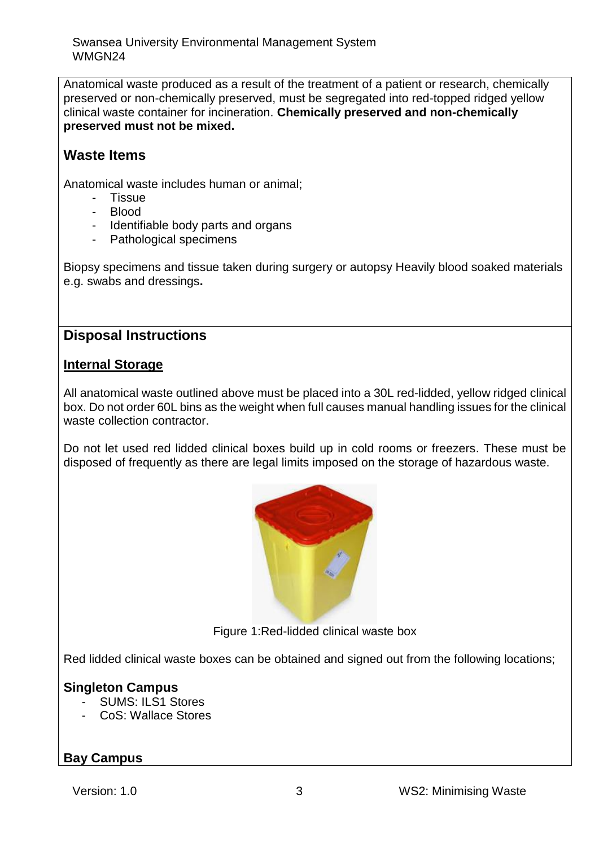Swansea University Environmental Management System WMGN24

Anatomical waste produced as a result of the treatment of a patient or research, chemically preserved or non-chemically preserved, must be segregated into red-topped ridged yellow clinical waste container for incineration. **Chemically preserved and non-chemically preserved must not be mixed.** 

# **Waste Items**

Anatomical waste includes human or animal;

- Tissue
- Blood
- Identifiable body parts and organs
- Pathological specimens

Biopsy specimens and tissue taken during surgery or autopsy Heavily blood soaked materials e.g. swabs and dressings**.**

## **Disposal Instructions**

#### **Internal Storage**

All anatomical waste outlined above must be placed into a 30L red-lidded, yellow ridged clinical box. Do not order 60L bins as the weight when full causes manual handling issues for the clinical waste collection contractor.

Do not let used red lidded clinical boxes build up in cold rooms or freezers. These must be disposed of frequently as there are legal limits imposed on the storage of hazardous waste.



Figure 1:Red-lidded clinical waste box

Red lidded clinical waste boxes can be obtained and signed out from the following locations;

## **Singleton Campus**

- SUMS: ILS1 Stores
- CoS: Wallace Stores

## **Bay Campus**